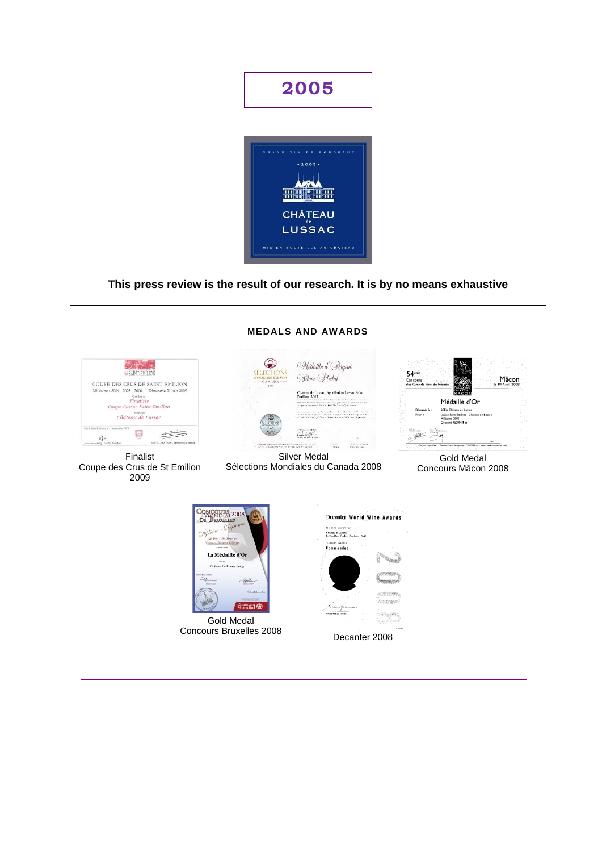

# **This press review is the result of our research. It is by no means exhaustive**

**MEDALS AND AWARDS**

| <b>WEATHLICH</b>                                     |                                       |
|------------------------------------------------------|---------------------------------------|
|                                                      |                                       |
| COUPE DES CRUS DE SAINT-EMILION                      |                                       |
| Millésimes 2004 - 2005 - 2006  Dimanche 21 juin 2009 |                                       |
| Certificat de                                        |                                       |
| Finaliste                                            |                                       |
| Coupe Lussac Saint-Emilion                           |                                       |
| Thiorette au                                         |                                       |
| Château de Lussac                                    |                                       |
|                                                      |                                       |
| Fair à Saint-Emilion, le 13 septembre 2009           |                                       |
|                                                      |                                       |
| Jean-Francois GUENIN, Peisident                      | Max SILVISTRINI, Président de Section |

Finalist Coupe des Crus de St Emilion 2009

### Médaille d'Argent Gilver Medal Chateau de Lussac, Appellation Lussac Saint .<br>International de la Grande de la companya de la companya de la grande de la companya de la companya de la comp<br>International de la companya de la companya de la companya de la companya de la companya de la companya de la  $\label{eq:1} \begin{split} &\text{for a non-singular} \quad \text{for } g \in \mathcal{A}, \quad \text{for a finite, } \quad \text{for } g \in \mathcal{A}, \quad \text{for } g \in \mathcal{A}, \\ &\text{for } g \in \mathcal{A}, \quad \text{for } g \in \mathcal{A}, \quad \text{for } g \in \mathcal{A}, \quad \text{for } g \in \mathcal{A}, \quad \text{for } g \in \mathcal{A}, \quad \text{for } g \in \mathcal{A}, \quad \text{for } g \in \mathcal{A}, \quad \text{for } g \in \mathcal{A}, \quad \text{for } g \in \math$ Gill belle  $\bar{b}$  where  $\frac{1}{2}$  . The projection of the  $\frac{1}{2}$

Silver Medal Sélections Mondiales du Canada 2008



Gold Medal Concours Mâcon 2008



Gold Medal Concours Bruxelles 2008 Decanter 2008

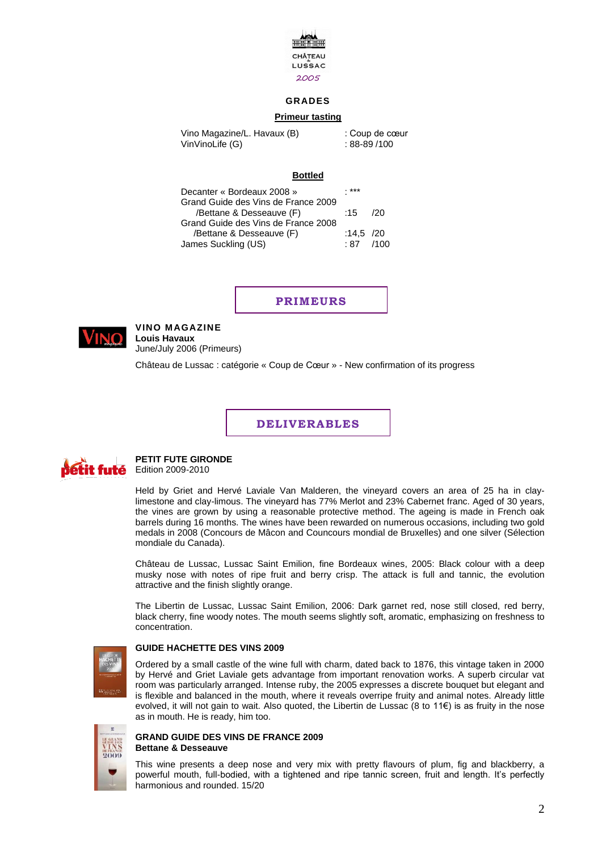

## **GRADES**

### **Primeur tasting**

Vino Magazine/L. Havaux (B) : Coup de cœur VinVinoLife (G) : 88-89 /100

### **Bottled**

| Decanter « Bordeaux 2008 »          | ***         |     |
|-------------------------------------|-------------|-----|
| Grand Guide des Vins de France 2009 |             |     |
| /Bettane & Desseauve (F)            | :15         | 120 |
| Grand Guide des Vins de France 2008 |             |     |
| /Bettane & Desseauve (F)            | :14,5 $/20$ |     |
| James Suckling (US)                 | $.87$ /100  |     |

**PRIMEURS**



### **VINO MAGAZINE Louis Havaux** June/July 2006 (Primeurs)

Château de Lussac : catégorie « Coup de Cœur » - New confirmation of its progress

**DELIVERABLES**



# **PETIT FUTE GIRONDE**

Edition 2009-2010

Held by Griet and Hervé Laviale Van Malderen, the vineyard covers an area of 25 ha in claylimestone and clay-limous. The vineyard has 77% Merlot and 23% Cabernet franc. Aged of 30 years, the vines are grown by using a reasonable protective method. The ageing is made in French oak barrels during 16 months. The wines have been rewarded on numerous occasions, including two gold medals in 2008 (Concours de Mâcon and Councours mondial de Bruxelles) and one silver (Sélection mondiale du Canada).

Château de Lussac, Lussac Saint Emilion, fine Bordeaux wines, 2005: Black colour with a deep musky nose with notes of ripe fruit and berry crisp. The attack is full and tannic, the evolution attractive and the finish slightly orange.

The Libertin de Lussac, Lussac Saint Emilion, 2006: Dark garnet red, nose still closed, red berry, black cherry, fine woody notes. The mouth seems slightly soft, aromatic, emphasizing on freshness to concentration.



### **GUIDE HACHETTE DES VINS 2009**

Ordered by a small castle of the wine full with charm, dated back to 1876, this vintage taken in 2000 by Hervé and Griet Laviale gets advantage from important renovation works. A superb circular vat room was particularly arranged. Intense ruby, the 2005 expresses a discrete bouquet but elegant and is flexible and balanced in the mouth, where it reveals overripe fruity and animal notes. Already little evolved, it will not gain to wait. Also quoted, the Libertin de Lussac (8 to 11€) is as fruity in the nose as in mouth. He is ready, him too.



### **GRAND GUIDE DES VINS DE FRANCE 2009 Bettane & Desseauve**

This wine presents a deep nose and very mix with pretty flavours of plum, fig and blackberry, a powerful mouth, full-bodied, with a tightened and ripe tannic screen, fruit and length. It's perfectly harmonious and rounded. 15/20